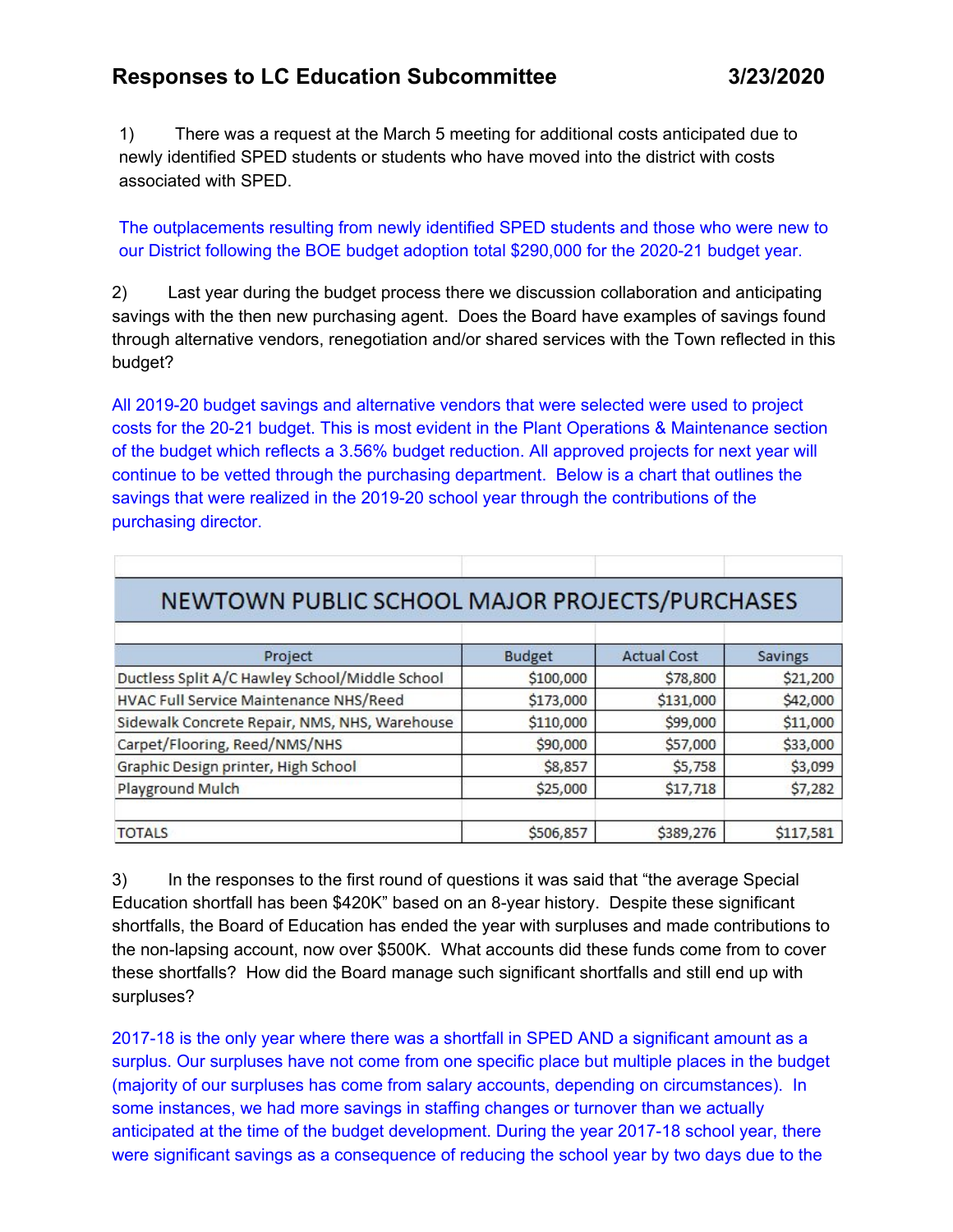## **Responses to LC Education Subcommittee 3/23/2020**

1) There was a request at the March 5 meeting for additional costs anticipated due to newly identified SPED students or students who have moved into the district with costs associated with SPED.

The outplacements resulting from newly identified SPED students and those who were new to our District following the BOE budget adoption total \$290,000 for the 2020-21 budget year.

2) Last year during the budget process there we discussion collaboration and anticipating savings with the then new purchasing agent. Does the Board have examples of savings found through alternative vendors, renegotiation and/or shared services with the Town reflected in this budget?

All 2019-20 budget savings and alternative vendors that were selected were used to project costs for the 20-21 budget. This is most evident in the Plant Operations & Maintenance section of the budget which reflects a 3.56% budget reduction. All approved projects for next year will continue to be vetted through the purchasing department. Below is a chart that outlines the savings that were realized in the 2019-20 school year through the contributions of the purchasing director.

| NEWTOWN PUBLIC SCHOOL MAJOR PROJECTS/PURCHASES |               |                    |           |
|------------------------------------------------|---------------|--------------------|-----------|
| Project                                        | <b>Budget</b> | <b>Actual Cost</b> | Savings   |
| Ductless Split A/C Hawley School/Middle School | \$100,000     | \$78,800           | \$21,200  |
| HVAC Full Service Maintenance NHS/Reed         | \$173,000     | \$131,000          | \$42,000  |
| Sidewalk Concrete Repair, NMS, NHS, Warehouse  | \$110,000     | \$99,000           | \$11,000  |
| Carpet/Flooring, Reed/NMS/NHS                  | \$90,000      | \$57,000           | \$33,000  |
| Graphic Design printer, High School            | \$8,857       | \$5,758            | \$3,099   |
| Playground Mulch                               | \$25,000      | \$17,718           | \$7,282   |
| <b>TOTALS</b>                                  | \$506,857     | \$389,276          | \$117,581 |

3) In the responses to the first round of questions it was said that "the average Special Education shortfall has been \$420K" based on an 8-year history. Despite these significant shortfalls, the Board of Education has ended the year with surpluses and made contributions to the non-lapsing account, now over \$500K. What accounts did these funds come from to cover these shortfalls? How did the Board manage such significant shortfalls and still end up with surpluses?

2017-18 is the only year where there was a shortfall in SPED AND a significant amount as a surplus. Our surpluses have not come from one specific place but multiple places in the budget (majority of our surpluses has come from salary accounts, depending on circumstances). In some instances, we had more savings in staffing changes or turnover than we actually anticipated at the time of the budget development. During the year 2017-18 school year, there were significant savings as a consequence of reducing the school year by two days due to the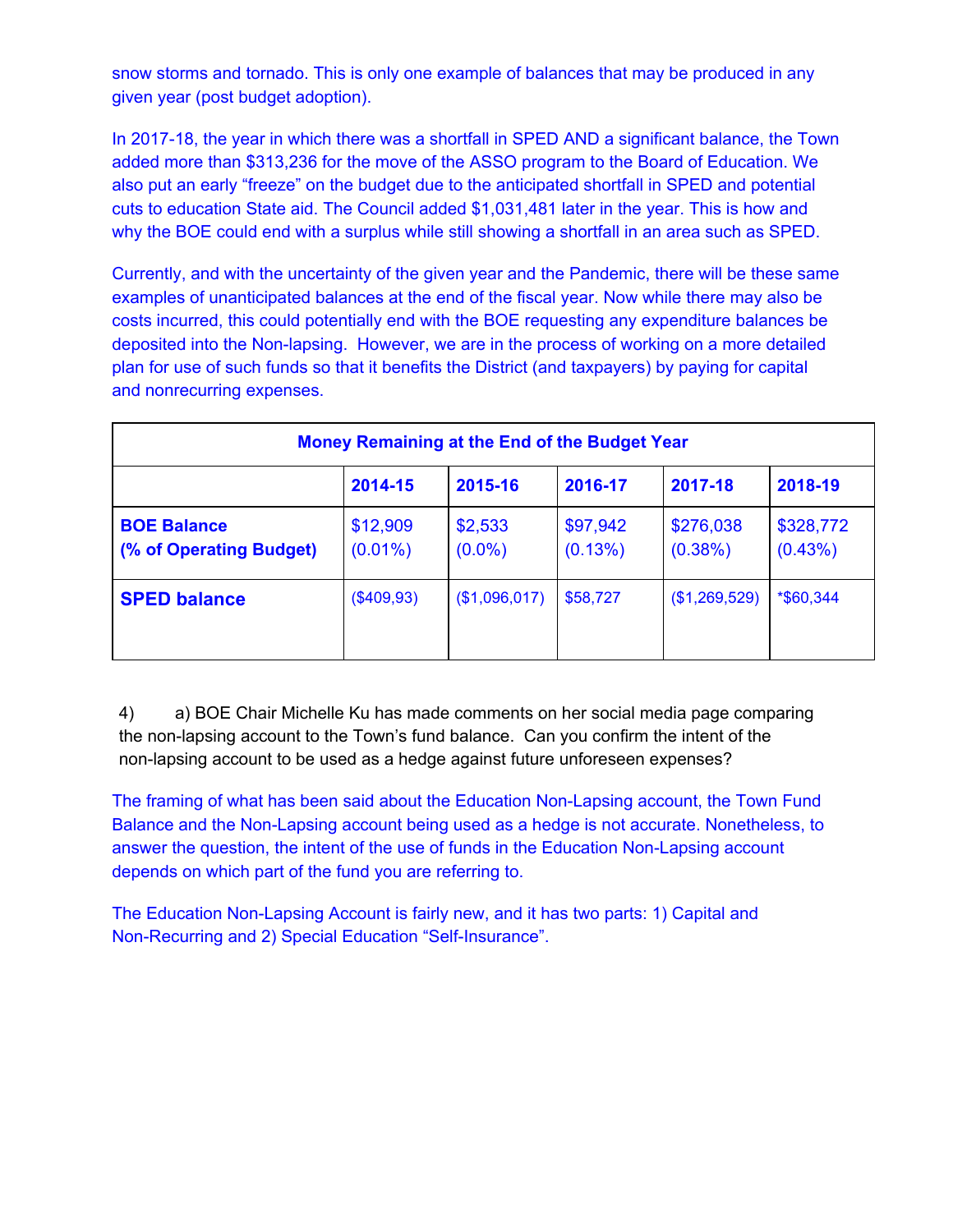snow storms and tornado. This is only one example of balances that may be produced in any given year (post budget adoption).

In 2017-18, the year in which there was a shortfall in SPED AND a significant balance, the Town added more than \$313,236 for the move of the ASSO program to the Board of Education. We also put an early "freeze" on the budget due to the anticipated shortfall in SPED and potential cuts to education State aid. The Council added \$1,031,481 later in the year. This is how and why the BOE could end with a surplus while still showing a shortfall in an area such as SPED.

Currently, and with the uncertainty of the given year and the Pandemic, there will be these same examples of unanticipated balances at the end of the fiscal year. Now while there may also be costs incurred, this could potentially end with the BOE requesting any expenditure balances be deposited into the Non-lapsing. However, we are in the process of working on a more detailed plan for use of such funds so that it benefits the District (and taxpayers) by paying for capital and nonrecurring expenses.

| <b>Money Remaining at the End of the Budget Year</b> |                        |                      |                        |                      |                      |  |  |  |
|------------------------------------------------------|------------------------|----------------------|------------------------|----------------------|----------------------|--|--|--|
|                                                      | 2014-15                | 2015-16              | 2016-17                | 2017-18              | 2018-19              |  |  |  |
| <b>BOE Balance</b><br>(% of Operating Budget)        | \$12,909<br>$(0.01\%)$ | \$2,533<br>$(0.0\%)$ | \$97,942<br>$(0.13\%)$ | \$276,038<br>(0.38%) | \$328,772<br>(0.43%) |  |  |  |
| <b>SPED balance</b>                                  | (\$409,93)             | (\$1,096,017)        | \$58,727               | (\$1,269,529)        | *\$60,344            |  |  |  |

4) a) BOE Chair Michelle Ku has made comments on her social media page comparing the non-lapsing account to the Town's fund balance. Can you confirm the intent of the non-lapsing account to be used as a hedge against future unforeseen expenses?

The framing of what has been said about the Education Non-Lapsing account, the Town Fund Balance and the Non-Lapsing account being used as a hedge is not accurate. Nonetheless, to answer the question, the intent of the use of funds in the Education Non-Lapsing account depends on which part of the fund you are referring to.

The Education Non-Lapsing Account is fairly new, and it has two parts: 1) Capital and Non-Recurring and 2) Special Education "Self-Insurance".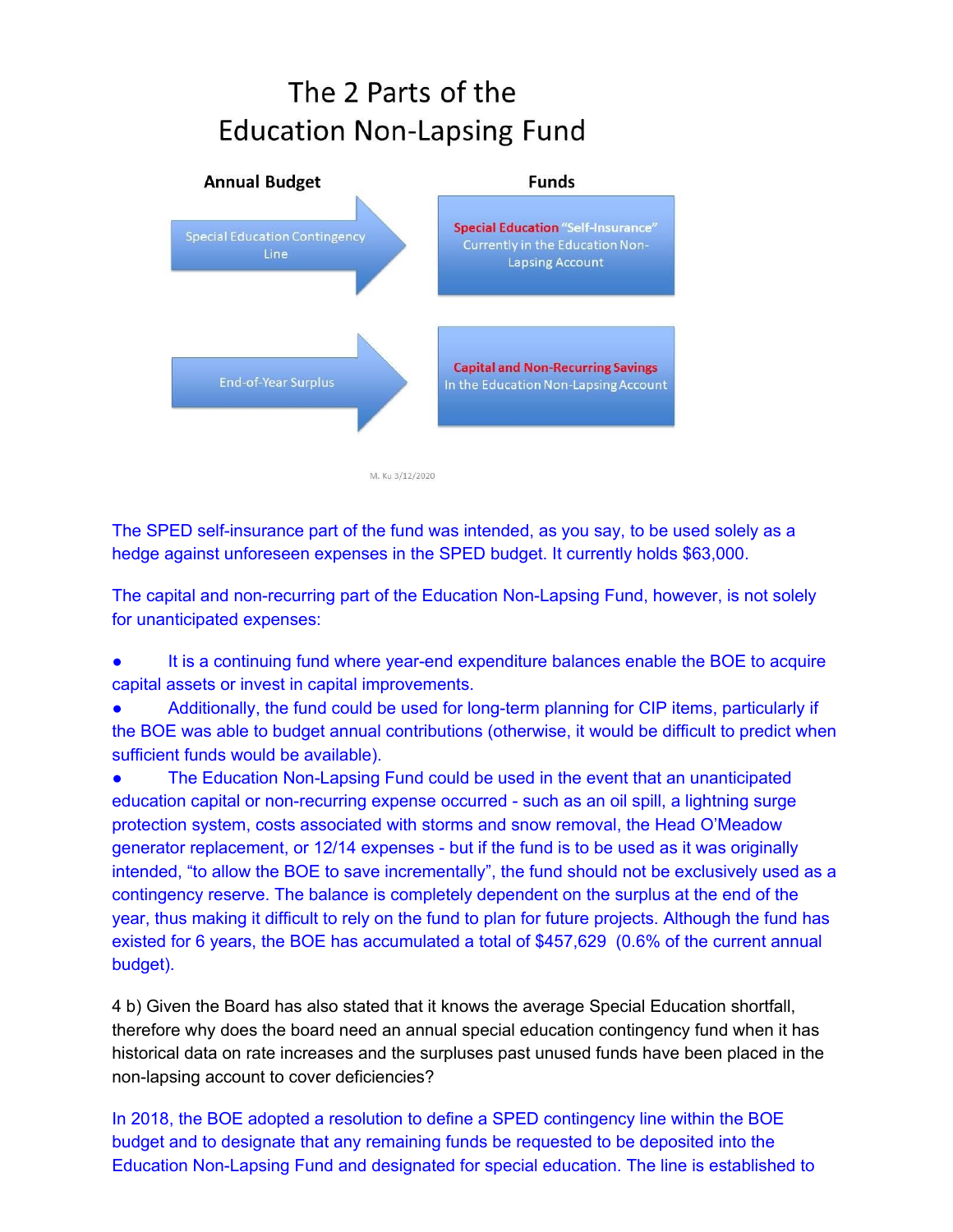## The 2 Parts of the **Education Non-Lapsing Fund**



The SPED self-insurance part of the fund was intended, as you say, to be used solely as a hedge against unforeseen expenses in the SPED budget. It currently holds \$63,000.

The capital and non-recurring part of the Education Non-Lapsing Fund, however, is not solely for unanticipated expenses:

It is a continuing fund where year-end expenditure balances enable the BOE to acquire capital assets or invest in capital improvements.

Additionally, the fund could be used for long-term planning for CIP items, particularly if the BOE was able to budget annual contributions (otherwise, it would be difficult to predict when sufficient funds would be available).

The Education Non-Lapsing Fund could be used in the event that an unanticipated education capital or non-recurring expense occurred - such as an oil spill, a lightning surge protection system, costs associated with storms and snow removal, the Head O'Meadow generator replacement, or 12/14 expenses - but if the fund is to be used as it was originally intended, "to allow the BOE to save incrementally", the fund should not be exclusively used as a contingency reserve. The balance is completely dependent on the surplus at the end of the year, thus making it difficult to rely on the fund to plan for future projects. Although the fund has existed for 6 years, the BOE has accumulated a total of \$457,629 (0.6% of the current annual budget).

4 b) Given the Board has also stated that it knows the average Special Education shortfall, therefore why does the board need an annual special education contingency fund when it has historical data on rate increases and the surpluses past unused funds have been placed in the non-lapsing account to cover deficiencies?

In 2018, the BOE adopted a resolution to define a SPED contingency line within the BOE budget and to designate that any remaining funds be requested to be deposited into the Education Non-Lapsing Fund and designated for special education. The line is established to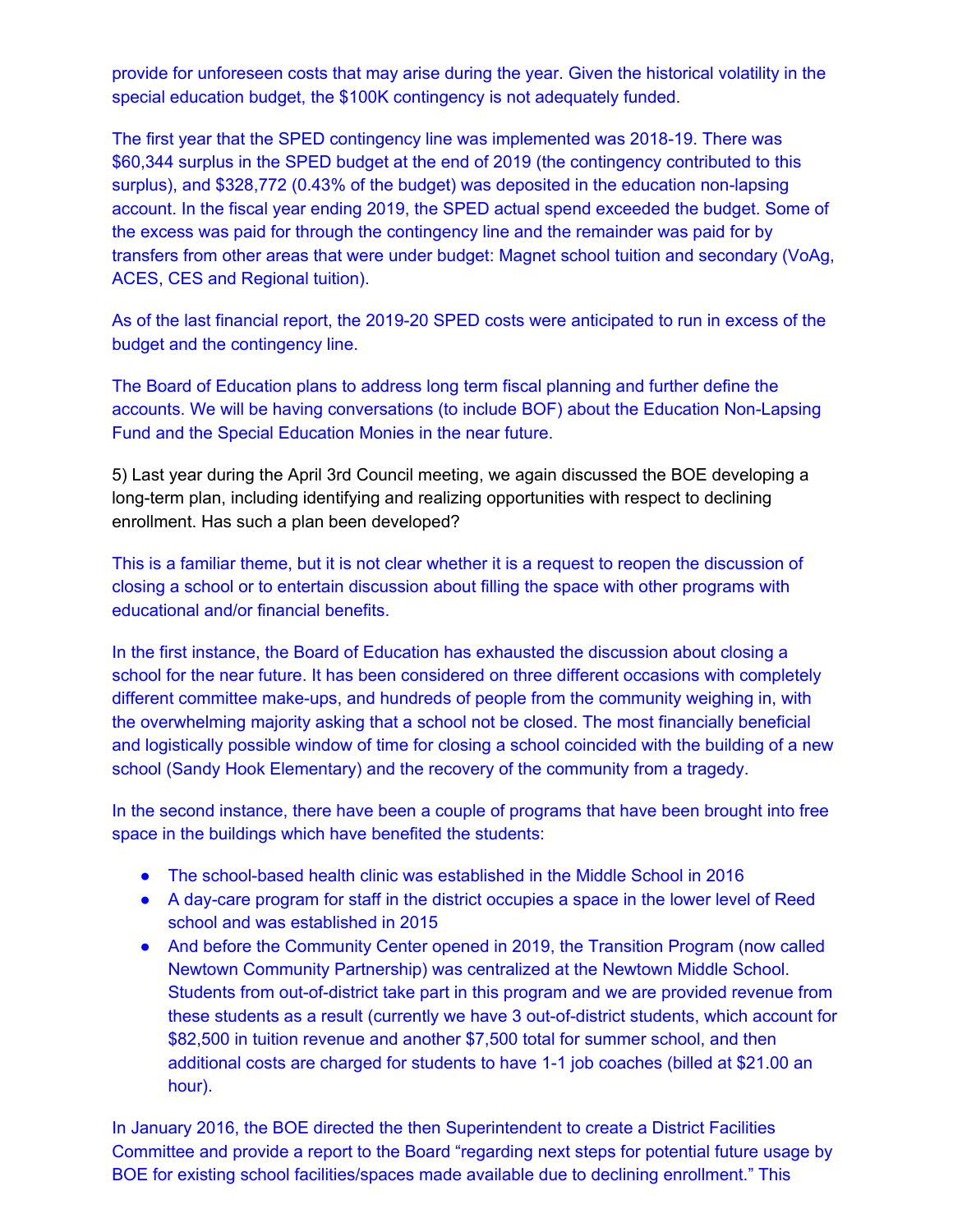provide for unforeseen costs that may arise during the year. Given the historical volatility in the special education budget, the \$100K contingency is not adequately funded.

The first year that the SPED contingency line was implemented was 2018-19. There was \$60,344 surplus in the SPED budget at the end of 2019 (the contingency contributed to this surplus), and \$328,772 (0.43% of the budget) was deposited in the education non-lapsing account. In the fiscal year ending 2019, the SPED actual spend exceeded the budget. Some of the excess was paid for through the contingency line and the remainder was paid for by transfers from other areas that were under budget: Magnet school tuition and secondary (VoAg, ACES, CES and Regional tuition).

As of the last financial report, the 2019-20 SPED costs were anticipated to run in excess of the budget and the contingency line.

The Board of Education plans to address long term fiscal planning and further define the accounts. We will be having conversations (to include BOF) about the Education Non-Lapsing Fund and the Special Education Monies in the near future.

5) Last year during the April 3rd Council meeting, we again discussed the BOE developing a long-term plan, including identifying and realizing opportunities with respect to declining enrollment. Has such a plan been developed?

This is a familiar theme, but it is not clear whether it is a request to reopen the discussion of closing a school or to entertain discussion about filling the space with other programs with educational and/or financial benefits.

In the first instance, the Board of Education has exhausted the discussion about closing a school for the near future. It has been considered on three different occasions with completely different committee make-ups, and hundreds of people from the community weighing in, with the overwhelming majority asking that a school not be closed. The most financially beneficial and logistically possible window of time for closing a school coincided with the building of a new school (Sandy Hook Elementary) and the recovery of the community from a tragedy.

In the second instance, there have been a couple of programs that have been brought into free space in the buildings which have benefited the students:

- The school-based health clinic was established in the Middle School in 2016
- A day-care program for staff in the district occupies a space in the lower level of Reed school and was established in 2015
- And before the Community Center opened in 2019, the Transition Program (now called Newtown Community Partnership) was centralized at the Newtown Middle School. Students from out-of-district take part in this program and we are provided revenue from these students as a result (currently we have 3 out-of-district students, which account for \$82,500 in tuition revenue and another \$7,500 total for summer school, and then additional costs are charged for students to have 1-1 job coaches (billed at \$21.00 an hour).

In January 2016, the BOE directed the then Superintendent to create a District Facilities Committee and provide a report to the Board "regarding next steps for potential future usage by BOE for existing school facilities/spaces made available due to declining enrollment." This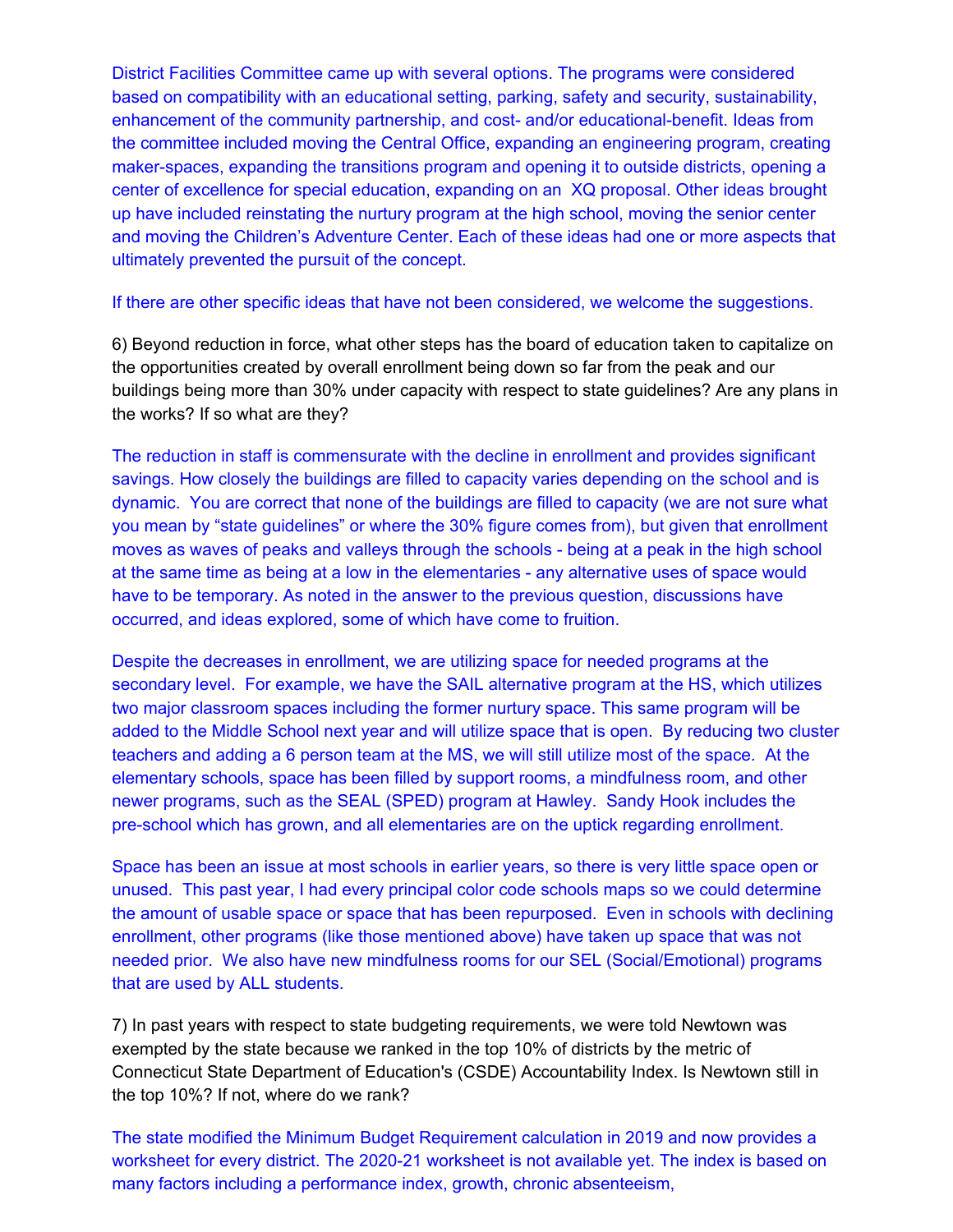District Facilities Committee came up with several options. The programs were considered based on compatibility with an educational setting, parking, safety and security, sustainability, enhancement of the community partnership, and cost- and/or educational-benefit. Ideas from the committee included moving the Central Office, expanding an engineering program, creating maker-spaces, expanding the transitions program and opening it to outside districts, opening a center of excellence for special education, expanding on an XQ proposal. Other ideas brought up have included reinstating the nurtury program at the high school, moving the senior center and moving the Children's Adventure Center. Each of these ideas had one or more aspects that ultimately prevented the pursuit of the concept.

If there are other specific ideas that have not been considered, we welcome the suggestions.

6) Beyond reduction in force, what other steps has the board of education taken to capitalize on the opportunities created by overall enrollment being down so far from the peak and our buildings being more than 30% under capacity with respect to state guidelines? Are any plans in the works? If so what are they?

The reduction in staff is commensurate with the decline in enrollment and provides significant savings. How closely the buildings are filled to capacity varies depending on the school and is dynamic. You are correct that none of the buildings are filled to capacity (we are not sure what you mean by "state guidelines" or where the 30% figure comes from), but given that enrollment moves as waves of peaks and valleys through the schools - being at a peak in the high school at the same time as being at a low in the elementaries - any alternative uses of space would have to be temporary. As noted in the answer to the previous question, discussions have occurred, and ideas explored, some of which have come to fruition.

Despite the decreases in enrollment, we are utilizing space for needed programs at the secondary level. For example, we have the SAIL alternative program at the HS, which utilizes two major classroom spaces including the former nurtury space. This same program will be added to the Middle School next year and will utilize space that is open. By reducing two cluster teachers and adding a 6 person team at the MS, we will still utilize most of the space. At the elementary schools, space has been filled by support rooms, a mindfulness room, and other newer programs, such as the SEAL (SPED) program at Hawley. Sandy Hook includes the pre-school which has grown, and all elementaries are on the uptick regarding enrollment.

Space has been an issue at most schools in earlier years, so there is very little space open or unused. This past year, I had every principal color code schools maps so we could determine the amount of usable space or space that has been repurposed. Even in schools with declining enrollment, other programs (like those mentioned above) have taken up space that was not needed prior. We also have new mindfulness rooms for our SEL (Social/Emotional) programs that are used by ALL students.

7) In past years with respect to state budgeting requirements, we were told Newtown was exempted by the state because we ranked in the top 10% of districts by the metric of Connecticut State Department of Education's (CSDE) Accountability Index. Is Newtown still in the top 10%? If not, where do we rank?

The state modified the Minimum Budget Requirement calculation in 2019 and now provides a worksheet for every district. The 2020-21 worksheet is not available yet. The index is based on many factors including a performance index, growth, chronic absenteeism,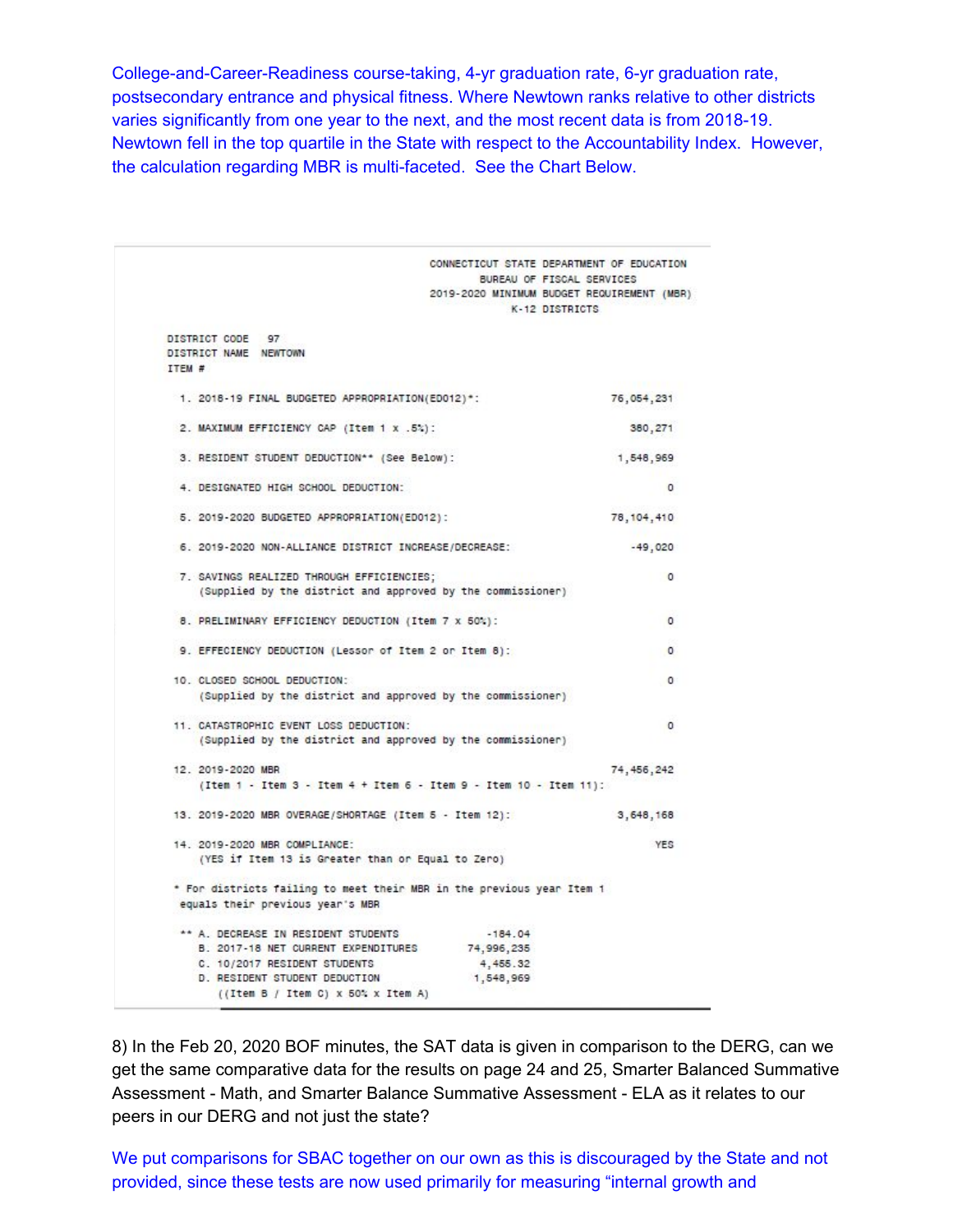College-and-Career-Readiness course-taking, 4-yr graduation rate, 6-yr graduation rate, postsecondary entrance and physical fitness. Where Newtown ranks relative to other districts varies significantly from one year to the next, and the most recent data is from 2018-19. Newtown fell in the top quartile in the State with respect to the Accountability Index. However, the calculation regarding MBR is multi-faceted. See the Chart Below.

|                                                                                                                                                                                                  | CONNECTICUT STATE DEPARTMENT OF EDUCATION<br>BUREAU OF FISCAL SERVICES<br>2019-2020 MINIMUM BUDGET REQUIREMENT (MBR)<br>K-12 DISTRICTS |  |
|--------------------------------------------------------------------------------------------------------------------------------------------------------------------------------------------------|----------------------------------------------------------------------------------------------------------------------------------------|--|
| DISTRICT CODE 97<br>DISTRICT NAME NEWTOWN<br>ITEM #                                                                                                                                              |                                                                                                                                        |  |
| 1. 2018-19 FINAL BUDGETED APPROPRIATION(ED012)*:                                                                                                                                                 | 76,054,231                                                                                                                             |  |
| 2. MAXIMUM EFFICIENCY CAP (Item 1 x .5%):                                                                                                                                                        | 380,271                                                                                                                                |  |
| 3. RESIDENT STUDENT DEDUCTION** (See Below):                                                                                                                                                     | 1,548,969                                                                                                                              |  |
| 4. DESIGNATED HIGH SCHOOL DEDUCTION:                                                                                                                                                             | 0                                                                                                                                      |  |
| 5. 2019-2020 BUDGETED APPROPRIATION(ED012):                                                                                                                                                      | 78, 104, 410                                                                                                                           |  |
| 6. 2019-2020 NON-ALLIANCE DISTRICT INCREASE/DECREASE:                                                                                                                                            | $-49,020$                                                                                                                              |  |
| 7. SAVINGS REALIZED THROUGH EFFICIENCIES;<br>(Supplied by the district and approved by the commissioner)                                                                                         | $\circ$                                                                                                                                |  |
| 8. PRELIMINARY EFFICIENCY DEDUCTION (Item 7 x 50%):                                                                                                                                              | $\circ$                                                                                                                                |  |
| 9. EFFECIENCY DEDUCTION (Lessor of Item 2 or Item 8):                                                                                                                                            | $\circ$                                                                                                                                |  |
| 10. CLOSED SCHOOL DEDUCTION:<br>(Supplied by the district and approved by the commissioner)                                                                                                      | 0                                                                                                                                      |  |
| 11. CATASTROPHIC EVENT LOSS DEDUCTION:<br>(Supplied by the district and approved by the commissioner)                                                                                            | 0                                                                                                                                      |  |
| 12. 2019-2020 MBR<br>(Item 1 - Item 3 - Item 4 + Item 6 - Item 9 - Item 10 - Item 11):                                                                                                           | 74, 456, 242                                                                                                                           |  |
| 13. 2019-2020 MBR OVERAGE/SHORTAGE (Item 5 - Item 12):                                                                                                                                           | 3,648,168                                                                                                                              |  |
| 14. 2019-2020 MBR COMPLIANCE:<br>(YES if Item 13 is Greater than or Equal to Zero)                                                                                                               | YES                                                                                                                                    |  |
| * For districts failing to meet their MBR in the previous year Item 1<br>equals their previous year's MBR                                                                                        |                                                                                                                                        |  |
| ** A. DECREASE IN RESIDENT STUDENTS<br>B. 2017-18 NET CURRENT EXPENDITURES<br>C. 10/2017 RESIDENT STUDENTS<br><b>D. RESIDENT STUDENT DEDUCTION</b><br>$((Item B / Item C) \times 50$ % X Item A) | $-184.04$<br>74,996,235<br>4, 455.32<br>1,548,969                                                                                      |  |

8) In the Feb 20, 2020 BOF minutes, the SAT data is given in comparison to the DERG, can we get the same comparative data for the results on page 24 and 25, Smarter Balanced Summative Assessment - Math, and Smarter Balance Summative Assessment - ELA as it relates to our peers in our DERG and not just the state?

We put comparisons for SBAC together on our own as this is discouraged by the State and not provided, since these tests are now used primarily for measuring "internal growth and